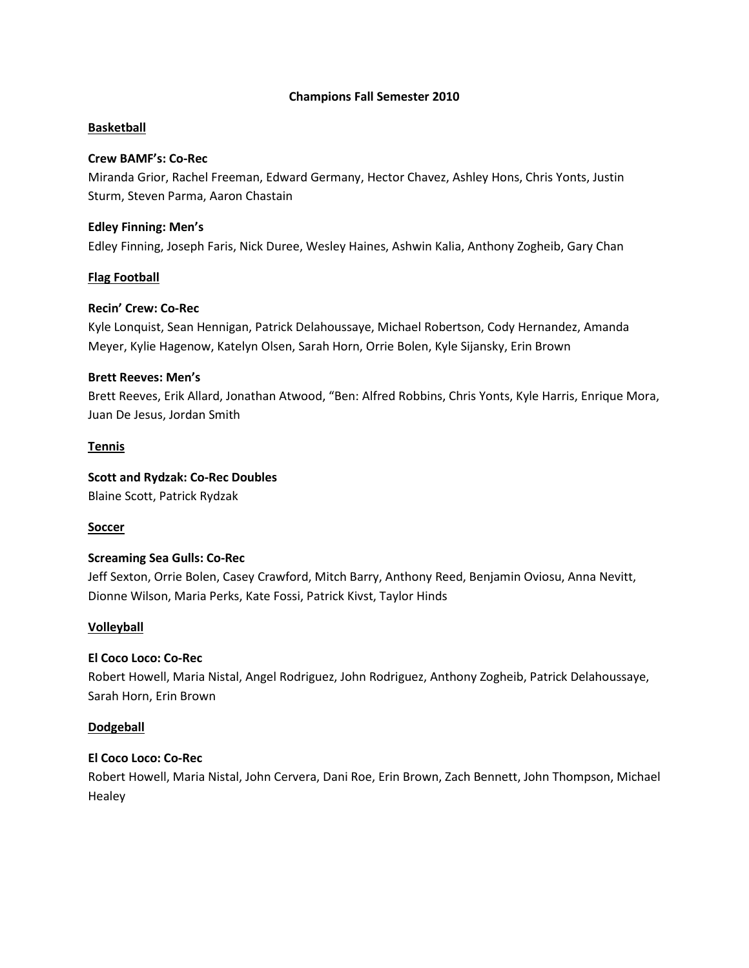# **Champions Fall Semester 2010**

# **Basketball**

# **Crew BAMF's: Co-Rec**

Miranda Grior, Rachel Freeman, Edward Germany, Hector Chavez, Ashley Hons, Chris Yonts, Justin Sturm, Steven Parma, Aaron Chastain

# **Edley Finning: Men's**

Edley Finning, Joseph Faris, Nick Duree, Wesley Haines, Ashwin Kalia, Anthony Zogheib, Gary Chan

# **Flag Football**

### **Recin' Crew: Co-Rec**

Kyle Lonquist, Sean Hennigan, Patrick Delahoussaye, Michael Robertson, Cody Hernandez, Amanda Meyer, Kylie Hagenow, Katelyn Olsen, Sarah Horn, Orrie Bolen, Kyle Sijansky, Erin Brown

### **Brett Reeves: Men's**

Brett Reeves, Erik Allard, Jonathan Atwood, "Ben: Alfred Robbins, Chris Yonts, Kyle Harris, Enrique Mora, Juan De Jesus, Jordan Smith

### **Tennis**

**Scott and Rydzak: Co-Rec Doubles**

Blaine Scott, Patrick Rydzak

# **Soccer**

# **Screaming Sea Gulls: Co-Rec**

Jeff Sexton, Orrie Bolen, Casey Crawford, Mitch Barry, Anthony Reed, Benjamin Oviosu, Anna Nevitt, Dionne Wilson, Maria Perks, Kate Fossi, Patrick Kivst, Taylor Hinds

# **Volleyball**

# **El Coco Loco: Co-Rec**

Robert Howell, Maria Nistal, Angel Rodriguez, John Rodriguez, Anthony Zogheib, Patrick Delahoussaye, Sarah Horn, Erin Brown

#### **Dodgeball**

# **El Coco Loco: Co-Rec**

Robert Howell, Maria Nistal, John Cervera, Dani Roe, Erin Brown, Zach Bennett, John Thompson, Michael **Healey**